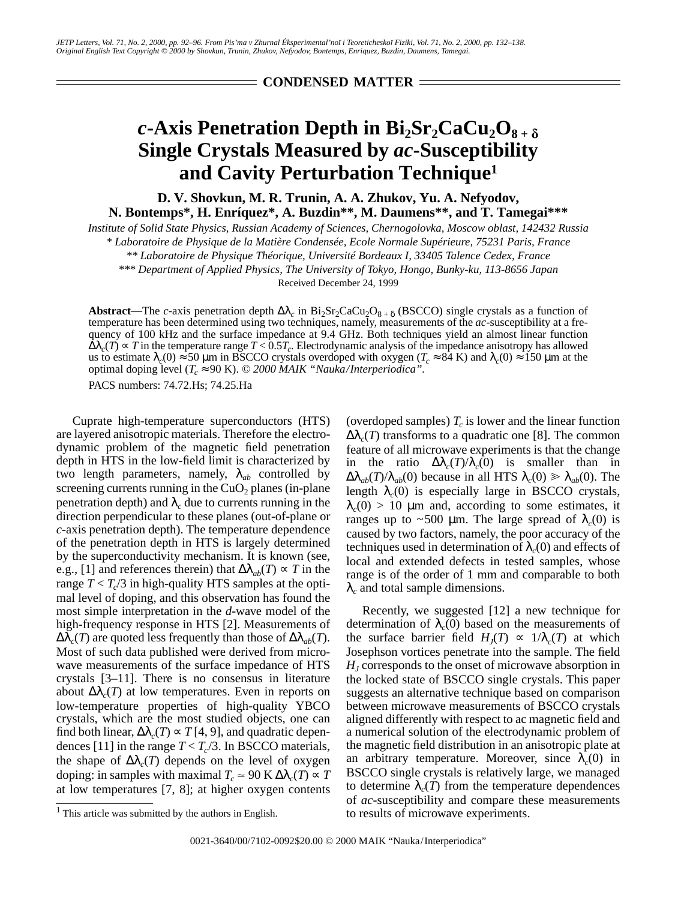**CONDENSED MATTER**

## *c***-Axis Penetration Depth in Bi<sub>2</sub>Sr<sub>2</sub>CaCu<sub>2</sub>O<sub>8+</sub>** $_{\delta}$ **Single Crystals Measured by** *ac***-Susceptibility and Cavity Perturbation Technique1**

**D. V. Shovkun, M. R. Trunin, A. A. Zhukov, Yu. A. Nefyodov, N. Bontemps\*, H. Enríquez\*, A. Buzdin\*\*, M. Daumens\*\*, and T. Tamegai\*\*\***

*Institute of Solid State Physics, Russian Academy of Sciences, Chernogolovka, Moscow oblast, 142432 Russia*

*\* Laboratoire de Physique de la Matière Condensée, Ecole Normale Supérieure, 75231 Paris, France*

*\*\* Laboratoire de Physique Théorique, Université Bordeaux I, 33405 Talence Cedex, France*

*\*\*\* Department of Applied Physics, The University of Tokyo, Hongo, Bunky-ku, 113-8656 Japan*

Received December 24, 1999

**Abstract—The** *c***-axis penetration depth**  $\Delta\lambda_c$  **in Bi<sub>2</sub>Sr<sub>2</sub>CaCu<sub>2</sub>O<sub>8 + δ</sub> (BSCCO) single crystals as a function of** temperature has been determined using two techniques, namely, measurements of the *ac-*susceptibility at a frequency of 100 kHz and the surface impedance at 9.4 GHz. Both techniques yield an almost linear function  $\Delta\lambda_c(T) \propto T$  in the temperature range  $T < 0.5T_c$ . Electrodynamic analysis of the impedance anisotropy has allowed us to estimate  $\lambda_c(0) \approx 50 \mu m$  in BSCCO crystals overdoped with oxygen ( $T_c \approx 84 \text{ K}$ ) and  $\lambda_c(0) \approx 150 \mu m$  at the optimal doping level (*T<sub>c</sub>* ≈ 90 K). © 2000 MAIK "Nauka/Interperiodica".

PACS numbers: 74.72.Hs; 74.25.Ha

Cuprate high-temperature superconductors (HTS) are layered anisotropic materials. Therefore the electrodynamic problem of the magnetic field penetration depth in HTS in the low-field limit is characterized by two length parameters, namely,  $\lambda_{ab}$  controlled by screening currents running in the  $CuO<sub>2</sub>$  planes (in-plane penetration depth) and  $\lambda_c$  due to currents running in the direction perpendicular to these planes (out-of-plane or *c*-axis penetration depth). The temperature dependence of the penetration depth in HTS is largely determined by the superconductivity mechanism. It is known (see, e.g., [1] and references therein) that  $\Delta \lambda_{ab}(T) \propto T$  in the range  $T < T_c/3$  in high-quality HTS samples at the optimal level of doping, and this observation has found the most simple interpretation in the *d*-wave model of the high-frequency response in HTS [2]. Measurements of  $\Delta\lambda_c(T)$  are quoted less frequently than those of  $\Delta\lambda_{ab}(T)$ . Most of such data published were derived from microwave measurements of the surface impedance of HTS crystals [3–11]. There is no consensus in literature about  $\Delta\lambda_c(T)$  at low temperatures. Even in reports on low-temperature properties of high-quality YBCO crystals, which are the most studied objects, one can find both linear,  $\Delta \lambda_c(T) \propto T[4, 9]$ , and quadratic dependences [11] in the range  $T < T_c/3$ . In BSCCO materials, the shape of  $\Delta\lambda_c(T)$  depends on the level of oxygen doping: in samples with maximal  $T_c \approx 90 \text{ K } \Delta \lambda_c(T) \approx T$ at low temperatures [7, 8]; at higher oxygen contents (overdoped samples)  $T_c$  is lower and the linear function  $\Delta\lambda_c(T)$  transforms to a quadratic one [8]. The common feature of all microwave experiments is that the change in the ratio  $\Delta\lambda_c(T)/\lambda_c(0)$  is smaller than in  $\Delta\lambda_{ab}(T)/\lambda_{ab}(0)$  because in all HTS  $\lambda_c(0) \geq \lambda_{ab}(0)$ . The length  $\lambda_c(0)$  is especially large in BSCCO crystals,  $\lambda_c(0) > 10$  µm and, according to some estimates, it ranges up to ~500 μm. The large spread of  $\lambda_c(0)$  is caused by two factors, namely, the poor accuracy of the techniques used in determination of  $\lambda_c(0)$  and effects of local and extended defects in tested samples, whose range is of the order of 1 mm and comparable to both  $\lambda_c$  and total sample dimensions.

Recently, we suggested [12] a new technique for determination of  $\lambda_c(0)$  based on the measurements of the surface barrier field  $H_1(T) \propto 1/\lambda_c(T)$  at which Josephson vortices penetrate into the sample. The field *HJ* corresponds to the onset of microwave absorption in the locked state of BSCCO single crystals. This paper suggests an alternative technique based on comparison between microwave measurements of BSCCO crystals aligned differently with respect to ac magnetic field and a numerical solution of the electrodynamic problem of the magnetic field distribution in an anisotropic plate at an arbitrary temperature. Moreover, since  $\lambda_c(0)$  in BSCCO single crystals is relatively large, we managed to determine  $\lambda_c(T)$  from the temperature dependences of *ac*-susceptibility and compare these measurements to results of microwave experiments.

 $<sup>1</sup>$  This article was submitted by the authors in English.</sup>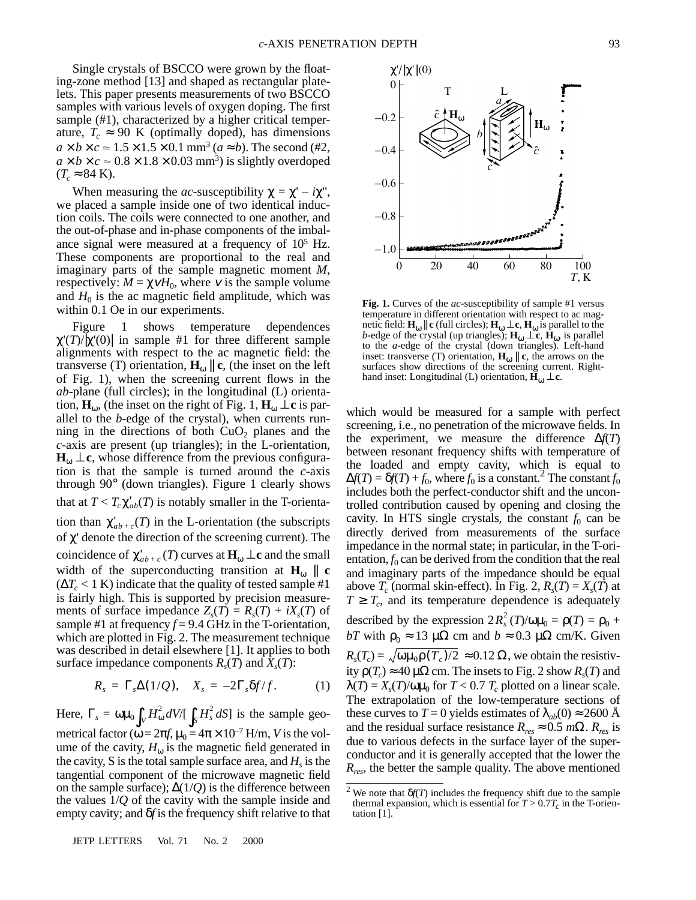Single crystals of BSCCO were grown by the floating-zone method [13] and shaped as rectangular platelets. This paper presents measurements of two BSCCO samples with various levels of oxygen doping. The first sample (#1), characterized by a higher critical temperature,  $T_c \approx 90$  K (optimally doped), has dimensions  $a \times b \times c \approx 1.5 \times 1.5 \times 0.1$  mm<sup>3</sup> ( $a \approx b$ ). The second (#2,  $a \times b \times c \approx 0.8 \times 1.8 \times 0.03$  mm<sup>3</sup>) is slightly overdoped  $(T_c \approx 84 \text{ K}).$ 

When measuring the *ac*-susceptibility  $\chi = \chi' - i\chi''$ , we placed a sample inside one of two identical induction coils. The coils were connected to one another, and the out-of-phase and in-phase components of the imbalance signal were measured at a frequency of  $10^5$  Hz. These components are proportional to the real and imaginary parts of the sample magnetic moment *M*, respectively:  $M = \chi vH_0$ , where v is the sample volume and  $H_0$  is the ac magnetic field amplitude, which was within 0.1 Oe in our experiments.

Figure 1 shows temperature dependences χ'(*T*)/|χ'(0)| in sample #1 for three different sample alignments with respect to the ac magnetic field: the transverse (T) orientation,  $\mathbf{H}_{\omega}$  || **c**, (the inset on the left of Fig. 1), when the screening current flows in the *ab*-plane (full circles); in the longitudinal (L) orientation,  $\mathbf{H}_{\omega}$ , (the inset on the right of Fig. 1,  $\mathbf{H}_{\omega} \perp \mathbf{c}$  is parallel to the *b*-edge of the crystal), when currents running in the directions of both  $CuO<sub>2</sub>$  planes and the *c*-axis are present (up triangles); in the L-orientation,  $H_{\omega} \perp c$ , whose difference from the previous configuration is that the sample is turned around the *c*-axis through 90° (down triangles). Figure 1 clearly shows that at  $T < T_c \chi_{ab}^{\dagger}(T)$  is notably smaller in the T-orientation than  $\chi'_{ab+c}(T)$  in the L-orientation (the subscripts of χ' denote the direction of the screening current). The coincidence of  $\chi_{ab+c}^{\prime}(T)$  curves at  $\mathbf{H}_{\omega} \perp \mathbf{c}$  and the small width of the superconducting transition at  $H_{\omega}$  || **c**  $(\Delta T_c < 1 \text{ K})$  indicate that the quality of tested sample #1 is fairly high. This is supported by precision measurements of surface impedance  $Z_s(T) = R_s(T) + iX_s(T)$  of sample #1 at frequency  $f = 9.4$  GHz in the T-orientation, which are plotted in Fig. 2. The measurement technique was described in detail elsewhere [1]. It applies to both surface impedance components  $R_s(T)$  and  $X_s(T)$ :

$$
R_s = \Gamma_s \Delta(1/Q), \quad X_s = -2\Gamma_s \delta f/f. \tag{1}
$$

Here,  $\Gamma_s = \omega \mu_0 \int_V H_\omega^2 dV / [\int_S H_s^2 dS]$  is the sample geometrical factor ( $\omega = 2\pi f$ ,  $\mu_0 = 4\pi \times 10^{-7}$  H/m, *V* is the volume of the cavity,  $H_{\omega}$  is the magnetic field generated in the cavity, S is the total sample surface area, and  $H<sub>s</sub>$  is the tangential component of the microwave magnetic field on the sample surface); ∆(1/*Q*) is the difference between the values 1/*Q* of the cavity with the sample inside and empty cavity; and δ*f* is the frequency shift relative to that



**Fig. 1.** Curves of the *ac*-susceptibility of sample #1 versus temperature in different orientation with respect to ac magnetic field:  $\mathbf{H}_{\omega} || \mathbf{c}$  (full circles);  $\mathbf{H}_{\omega} \perp \mathbf{c}$ ,  $\mathbf{H}_{\omega}$  is parallel to the *b*-edge of the crystal (up triangles);  $\mathbf{H}_{\omega} \perp \mathbf{\hat{c}}$ ,  $\mathbf{\hat{H}}_{\omega}$  is parallel to the *a*-edge of the crystal (down triangles). Left-hand inset: transverse (T) orientation,  $H_{\omega}$  || **c**, the arrows on the surfaces show directions of the screening current. Righthand inset: Longitudinal (L) orientation,  $\mathbf{\tilde{H}}_{\omega} \perp \mathbf{c}$ .

which would be measured for a sample with perfect screening, i.e., no penetration of the microwave fields. In the experiment, we measure the difference ∆*f*(*T*) between resonant frequency shifts with temperature of the loaded and empty cavity, which is equal to  $\Delta f(T) = \delta f(T) + f_0$ , where  $f_0$  is a constant.<sup>2</sup> The constant  $f_0$ includes both the perfect-conductor shift and the uncontrolled contribution caused by opening and closing the cavity. In HTS single crystals, the constant  $f_0$  can be directly derived from measurements of the surface impedance in the normal state; in particular, in the T-orientation,  $f_0$  can be derived from the condition that the real and imaginary parts of the impedance should be equal above  $T_c$  (normal skin-effect). In Fig. 2,  $R_s(T) = X_s(T)$  at  $T \geq T_c$ , and its temperature dependence is adequately described by the expression  $2R_s^2(T)/\omega\mu_0 = \rho(T) = \rho_0 +$ *bT* with  $\rho_0 \approx 13 \mu\Omega$  cm and  $b \approx 0.3 \mu\Omega$  cm/K. Given  $R_s(T_c) = \sqrt{\omega \mu_0 \rho(T_c)/2} \approx 0.12 \Omega$ , we obtain the resistivity  $p(T_c) \approx 40 \mu \Omega$  cm. The insets to Fig. 2 show  $R_s(T)$  and  $\lambda(T) = X_s(T)/\omega\mu_0$  for  $T < 0.7$   $T_c$  plotted on a linear scale. The extrapolation of the low-temperature sections of these curves to  $T = 0$  yields estimates of  $\lambda_{ab}(0) \approx 2600$  Å and the residual surface resistance  $R_{res} \approx 0.5$  *m* $\Omega$ .  $R_{res}$  is due to various defects in the surface layer of the superconductor and it is generally accepted that the lower the *Rres*, the better the sample quality. The above mentioned

JETP LETTERS Vol. 71 No. 2 2000

<sup>2</sup> We note that δ*f*(*T*) includes the frequency shift due to the sample thermal expansion, which is essential for  $T > 0.7T_c$  in the T-orientation [1].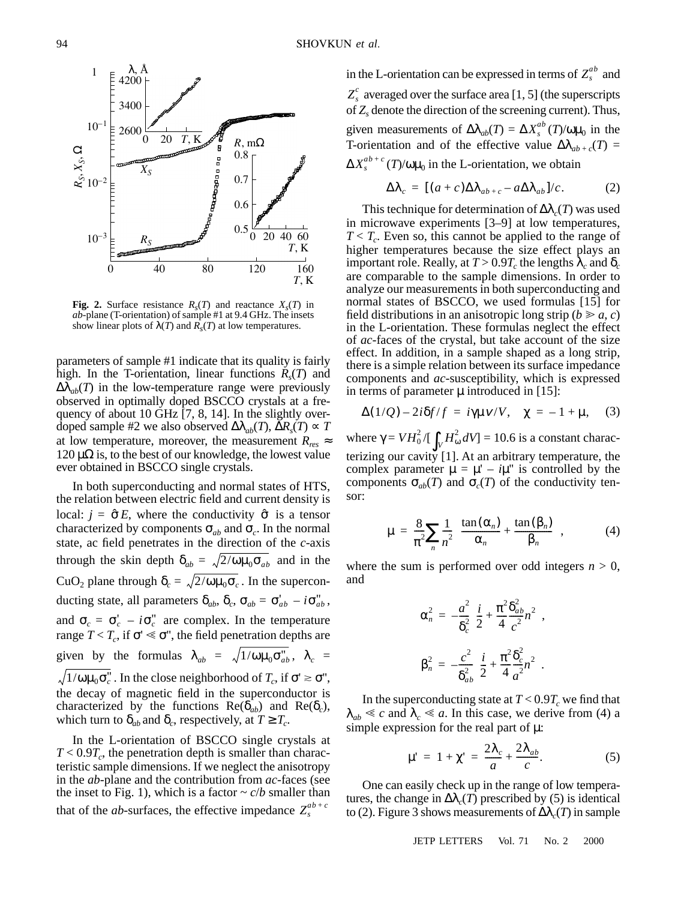

**Fig. 2.** Surface resistance  $R_s(T)$  and reactance  $X_s(T)$  in *ab*-plane (T-orientation) of sample #1 at 9.4 GHz. The insets show linear plots of  $\lambda(T)$  and  $R_s(T)$  at low temperatures.

parameters of sample #1 indicate that its quality is fairly high. In the T-orientation, linear functions  $R_s(T)$  and  $\Delta\lambda_{ab}(T)$  in the low-temperature range were previously observed in optimally doped BSCCO crystals at a frequency of about 10 GHz [7, 8, 14]. In the slightly overdoped sample #2 we also observed  $\Delta \lambda_{ab}(T)$ ,  $\Delta R_s(T) \approx T$ at low temperature, moreover, the measurement  $R_{res} \approx$  $120 \mu\Omega$  is, to the best of our knowledge, the lowest value ever obtained in BSCCO single crystals.

In both superconducting and normal states of HTS, the relation between electric field and current density is local:  $j = \hat{\sigma} E$ , where the conductivity  $\hat{\sigma}$  is a tensor characterized by components  $\sigma_{ab}$  and  $\sigma_c$ . In the normal state, ac field penetrates in the direction of the *c*-axis through the skin depth  $\delta_{ab} = \sqrt{2/\omega} \mu_0 \sigma_{ab}$  and in the CuO<sub>2</sub> plane through  $\delta_c = \sqrt{2/\omega \mu_0 \sigma_c}$ . In the superconducting state, all parameters  $\delta_{ab}$ ,  $\delta_c$ ,  $\sigma_{ab} = \sigma'_{ab} - i \sigma''_{ab}$ , and  $\sigma_c = \sigma_c' - i \sigma_c''$  are complex. In the temperature range  $T < T_c$ , if  $\sigma' \ll \sigma''$ , the field penetration depths are given by the formulas  $\lambda_{ab} = \sqrt{1/\omega \mu_0 \sigma_{ab}^2}$ ,  $\lambda_c =$  $1/ωμ₀σ<sub>c</sub><sup>''</sup>$ . In the close neighborhood of *T<sub>c</sub>*, if σ'  $\geq$  σ'', the decay of magnetic field in the superconductor is characterized by the functions  $\text{Re}(\delta_{ab})$  and  $\text{Re}(\delta_c)$ , which turn to  $\delta_{ab}$  and  $\delta_c$ , respectively, at  $T \geq T_c$ .

In the L-orientation of BSCCO single crystals at  $T < 0.9T_c$ , the penetration depth is smaller than characteristic sample dimensions. If we neglect the anisotropy in the *ab*-plane and the contribution from *ac*-faces (see the inset to Fig. 1), which is a factor  $\sim c/b$  smaller than that of the *ab*-surfaces, the effective impedance  $Z_s^{ab+c}$ 

in the L-orientation can be expressed in terms of  $Z_s^{ab}$  and  $Z_s^c$  averaged over the surface area [1, 5] (the superscripts of *Zs* denote the direction of the screening current). Thus, given measurements of  $\Delta\lambda_{ab}(T) = \Delta X_s^{ab}(T)/\omega\mu_0$  in the T-orientation and of the effective value  $\Delta \lambda_{ab+c}(T)$  =  $\Delta X_s^{ab+c}$  (*T*)/ω $\mu_0$  in the L-orientation, we obtain

$$
\Delta\lambda_c = [(a+c)\Delta\lambda_{ab+c} - a\Delta\lambda_{ab}]/c. \tag{2}
$$

This technique for determination of  $\Delta\lambda_c(T)$  was used in microwave experiments [3–9] at low temperatures,  $T < T_c$ . Even so, this cannot be applied to the range of higher temperatures because the size effect plays an important role. Really, at  $T > 0.9T_c$  the lengths  $\lambda_c$  and  $\delta_c$ are comparable to the sample dimensions. In order to analyze our measurements in both superconducting and normal states of BSCCO, we used formulas [15] for field distributions in an anisotropic long strip ( $b \ge a$ , *c*) in the L-orientation. These formulas neglect the effect of *ac*-faces of the crystal, but take account of the size effect. In addition, in a sample shaped as a long strip, there is a simple relation between its surface impedance components and *ac*-susceptibility, which is expressed in terms of parameter  $\mu$  introduced in [15]:

$$
\Delta(1/Q) - 2i\delta f/f = i\gamma \mu v/V, \quad \chi = -1 + \mu, \quad (3)
$$

where  $\gamma = V H_0^2 / \left[ \int_V H_\omega^2 dV \right] = 10.6$  is a constant characterizing our cavity [1]. At an arbitrary temperature, the complex parameter  $\mu = \mu' - i\mu''$  is controlled by the components  $\sigma_{ab}(T)$  and  $\sigma_c(T)$  of the conductivity tensor:

$$
\mu = \frac{8}{\pi^2} \sum_{n} \frac{1}{n^2} \left\{ \frac{\tan(\alpha_n)}{\alpha_n} + \frac{\tan(\beta_n)}{\beta_n} \right\},\tag{4}
$$

where the sum is performed over odd integers  $n > 0$ , and

$$
\alpha_n^2 = -\frac{a^2}{\delta_c^2} \left( \frac{i}{2} + \frac{\pi^2 \delta_{ab}^2}{4} n^2 \right),
$$
  

$$
\beta_n^2 = -\frac{c^2}{\delta_{ab}^2} \left( \frac{i}{2} + \frac{\pi^2 \delta_c^2}{4} n^2 \right).
$$

In the superconducting state at  $T < 0.9T_c$  we find that  $\lambda_{ab} \ll c$  and  $\lambda_c \ll a$ . In this case, we derive from (4) a simple expression for the real part of  $\mu$ :

$$
\mu' = 1 + \chi' = \frac{2\lambda_c}{a} + \frac{2\lambda_{ab}}{c}.
$$
 (5)

One can easily check up in the range of low temperatures, the change in  $\Delta\lambda_c(T)$  prescribed by (5) is identical to (2). Figure 3 shows measurements of  $\Delta\lambda_c(T)$  in sample

JETP LETTERS Vol. 71 No. 2 2000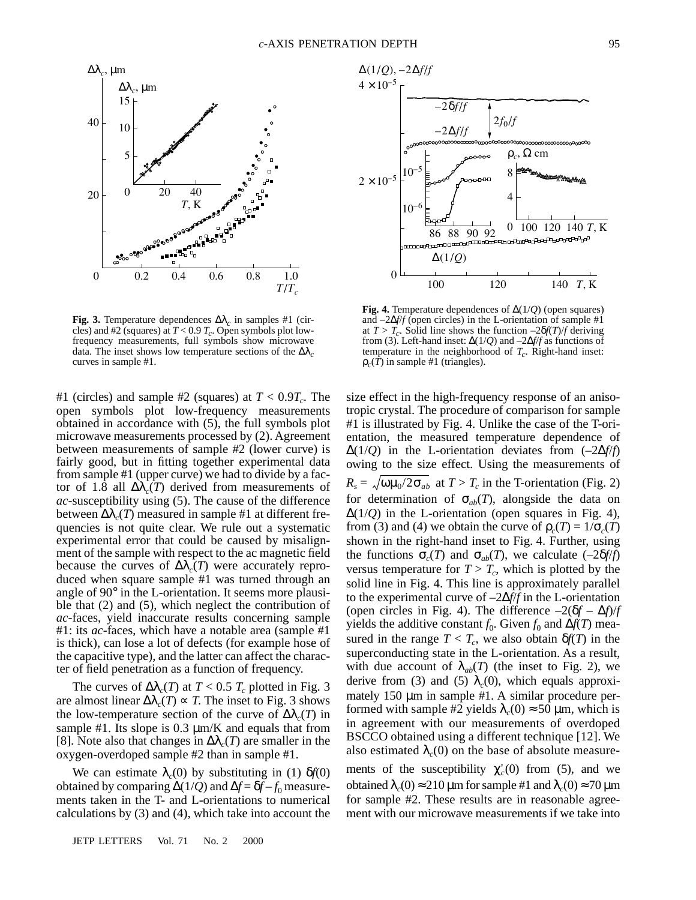

**Fig. 3.** Temperature dependences ∆λ*c* in samples #1 (circles) and #2 (squares) at  $T < 0.9 T_c$ . Open symbols plot lowfrequency measurements, full symbols show microwave data. The inset shows low temperature sections of the  $\Delta\lambda_c$  curves in sample #1.

#1 (circles) and sample #2 (squares) at  $T < 0.9T_c$ . The open symbols plot low-frequency measurements obtained in accordance with (5), the full symbols plot microwave measurements processed by (2). Agreement between measurements of sample #2 (lower curve) is fairly good, but in fitting together experimental data from sample #1 (upper curve) we had to divide by a factor of 1.8 all  $\Delta\lambda_c(T)$  derived from measurements of *ac*-susceptibility using (5). The cause of the difference between  $\Delta\lambda_c(T)$  measured in sample #1 at different frequencies is not quite clear. We rule out a systematic experimental error that could be caused by misalignment of the sample with respect to the ac magnetic field because the curves of  $\Delta\lambda_c(T)$  were accurately reproduced when square sample #1 was turned through an angle of 90° in the L-orientation. It seems more plausible that (2) and (5), which neglect the contribution of *ac*-faces, yield inaccurate results concerning sample #1: its *ac*-faces, which have a notable area (sample #1 is thick), can lose a lot of defects (for example hose of the capacitive type), and the latter can affect the character of field penetration as a function of frequency.

The curves of  $\Delta\lambda_c(T)$  at  $T < 0.5$   $T_c$  plotted in Fig. 3 are almost linear  $\Delta \lambda_c(T) \propto T$ . The inset to Fig. 3 shows the low-temperature section of the curve of  $\Delta\lambda_c(T)$  in sample #1. Its slope is  $0.3 \mu m/K$  and equals that from [8]. Note also that changes in  $\Delta\lambda_c(T)$  are smaller in the oxygen-overdoped sample #2 than in sample #1.

We can estimate  $\lambda_c(0)$  by substituting in (1)  $\delta f(0)$ obtained by comparing  $\Delta(1/Q)$  and  $\Delta f = \delta f - f_0$  measurements taken in the T- and L-orientations to numerical calculations by (3) and (4), which take into account the

JETP LETTERS Vol. 71 No. 2 2000



**Fig. 4.** Temperature dependences of ∆(1/*Q*) (open squares) and –2∆*f*/*f* (open circles) in the L-orientation of sample #1 at  $T > T_c$ . Solid line shows the function  $-2\delta f(T)/f$  deriving from (3). Left-hand inset: ∆(1/*Q*) and –2∆*f*/*f* as functions of temperature in the neighborhood of  $T_c$ . Right-hand inset:  $\rho_c(T)$  in sample #1 (triangles).

size effect in the high-frequency response of an anisotropic crystal. The procedure of comparison for sample #1 is illustrated by Fig. 4. Unlike the case of the T-orientation, the measured temperature dependence of ∆(1/*Q*) in the L-orientation deviates from (–2∆*f*/*f*) owing to the size effect. Using the measurements of  $R_s = \sqrt{\omega \mu_0/2 \sigma_{ab}}$  at  $T > T_c$  in the T-orientation (Fig. 2) for determination of  $\sigma_{ab}(T)$ , alongside the data on  $\Delta(1/Q)$  in the L-orientation (open squares in Fig. 4), from (3) and (4) we obtain the curve of  $\rho_c(T) = 1/\sigma_c(T)$ shown in the right-hand inset to Fig. 4. Further, using the functions  $\sigma_c(T)$  and  $\sigma_{ab}(T)$ , we calculate  $(-2\delta f/f)$ versus temperature for  $T > T_c$ , which is plotted by the solid line in Fig. 4. This line is approximately parallel to the experimental curve of –2∆*f*/*f* in the L-orientation (open circles in Fig. 4). The difference  $-2(\delta f - \Delta f)/f$ yields the additive constant  $f_0$ . Given  $f_0$  and  $\Delta f(T)$  measured in the range  $T < T_c$ , we also obtain  $\delta f(T)$  in the superconducting state in the L-orientation. As a result, with due account of  $\lambda_{ab}(T)$  (the inset to Fig. 2), we derive from (3) and (5)  $\lambda_c(0)$ , which equals approximately 150  $\mu$ m in sample #1. A similar procedure performed with sample #2 yields  $\lambda_c(0) \approx 50 \,\mu$ m, which is in agreement with our measurements of overdoped BSCCO obtained using a different technique [12]. We also estimated  $\lambda_c(0)$  on the base of absolute measure-

ments of the susceptibility  $\chi_c'(0)$  from (5), and we obtained  $\lambda_c(0) \approx 210 \,\mu\text{m}$  for sample #1 and  $\lambda_c(0) \approx 70 \,\mu\text{m}$ for sample #2. These results are in reasonable agreement with our microwave measurements if we take into